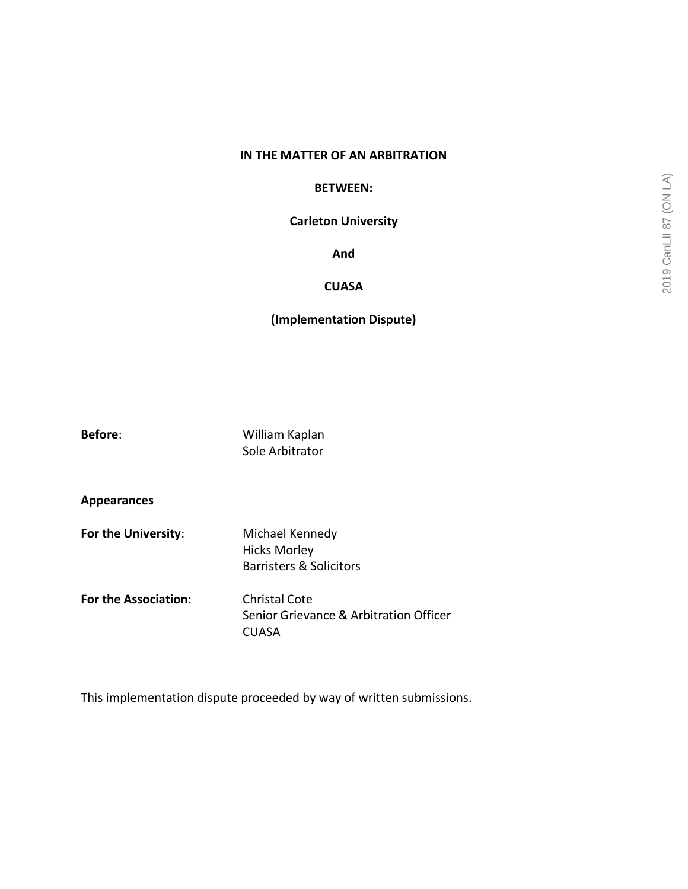### **IN THE MATTER OF AN ARBITRATION**

#### **BETWEEN:**

## **Carleton University**

**And**

## **CUASA**

# **(Implementation Dispute)**

**Before**: William Kaplan Sole Arbitrator

**Appearances**

- **For the University:** Michael Kennedy Hicks Morley Barristers & Solicitors
- **For the Association**: Christal Cote Senior Grievance & Arbitration Officer **CUASA**

This implementation dispute proceeded by way of written submissions.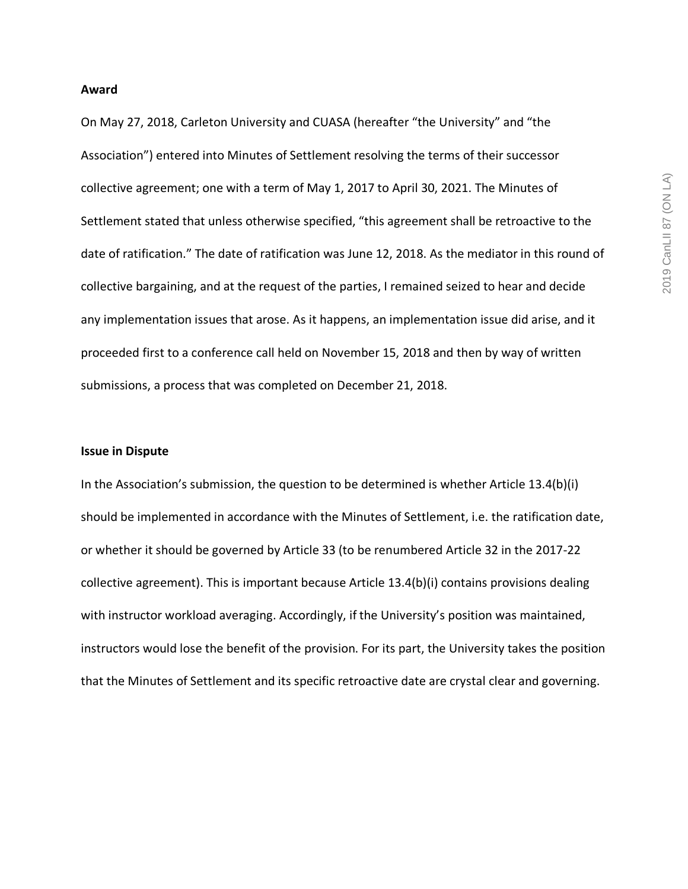#### **Award**

On May 27, 2018, Carleton University and CUASA (hereafter "the University" and "the Association") entered into Minutes of Settlement resolving the terms of their successor collective agreement; one with a term of May 1, 2017 to April 30, 2021. The Minutes of Settlement stated that unless otherwise specified, "this agreement shall be retroactive to the date of ratification." The date of ratification was June 12, 2018. As the mediator in this round of collective bargaining, and at the request of the parties, I remained seized to hear and decide any implementation issues that arose. As it happens, an implementation issue did arise, and it proceeded first to a conference call held on November 15, 2018 and then by way of written submissions, a process that was completed on December 21, 2018.

#### **Issue in Dispute**

In the Association's submission, the question to be determined is whether Article 13.4(b)(i) should be implemented in accordance with the Minutes of Settlement, i.e. the ratification date, or whether it should be governed by Article 33 (to be renumbered Article 32 in the 2017-22 collective agreement). This is important because Article 13.4(b)(i) contains provisions dealing with instructor workload averaging. Accordingly, if the University's position was maintained, instructors would lose the benefit of the provision. For its part, the University takes the position that the Minutes of Settlement and its specific retroactive date are crystal clear and governing.